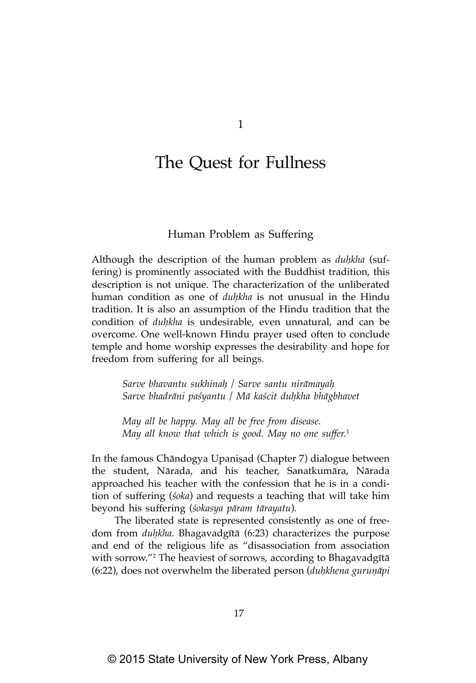1

# The Quest for Fullness

#### Human Problem as Suffering

Although the description of the human problem as *duḥkha* (suffering) is prominently associated with the Buddhist tradition, this description is not unique. The characterization of the unliberated human condition as one of *duḥkha* is not unusual in the Hindu tradition. It is also an assumption of the Hindu tradition that the condition of *duḥkha* is undesirable, even unnatural, and can be overcome. One well-known Hindu prayer used often to conclude temple and home worship expresses the desirability and hope for freedom from suffering for all beings.

> *Sarve bhavantu sukhinaḥ / Sarve santu nirāmayaḥ Sarve bhadrāni paśyantu / Mā kaścit duḥkha bhāgbhavet*

*May all be happy. May all be free from disease. May all know that which is good. May no one suffer.*<sup>1</sup>

In the famous Chāndogya Upaniṣad (Chapter 7) dialogue between the student, Nārada, and his teacher, Sanatkumāra, Nārada approached his teacher with the confession that he is in a condition of suffering (*śoka*) and requests a teaching that will take him beyond his suffering (*śokasya pāram tārayatu*).

The liberated state is represented consistently as one of freedom from *duḥkha.* Bhagavadgītā (6:23) characterizes the purpose and end of the religious life as "disassociation from association with sorrow."2 The heaviest of sorrows, according to Bhagavadgītā (6:22), does not overwhelm the liberated person (*duḥkhena guruṇāpi*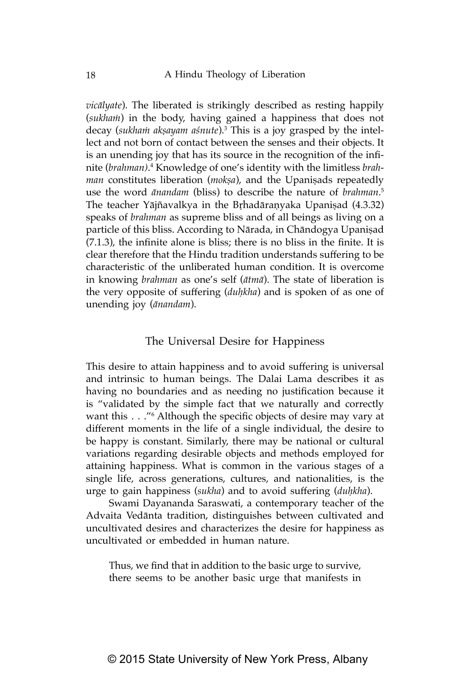*vicālyate*). The liberated is strikingly described as resting happily (*sukhaṁ*) in the body, having gained a happiness that does not decay (*sukhaṁ akṣayam aśnute*).3 This is a joy grasped by the intellect and not born of contact between the senses and their objects. It is an unending joy that has its source in the recognition of the infinite (*brahman)*. 4 Knowledge of one's identity with the limitless *brahman* constitutes liberation (*mokṣa*), and the Upaniṣads repeatedly use the word *ānandam* (bliss) to describe the nature of *brahman*. 5 The teacher Yājñavalkya in the Bṛhadāraṇyaka Upaniṣad (4.3.32) speaks of *brahman* as supreme bliss and of all beings as living on a particle of this bliss. According to Nārada, in Chāndogya Upaniṣad (7.1.3), the infinite alone is bliss; there is no bliss in the finite. It is clear therefore that the Hindu tradition understands suffering to be characteristic of the unliberated human condition. It is overcome in knowing *brahman* as one's self (*ātmā*). The state of liberation is the very opposite of suffering (*duḥkha*) and is spoken of as one of unending joy (*ānandam*).

#### The Universal Desire for Happiness

This desire to attain happiness and to avoid suffering is universal and intrinsic to human beings. The Dalai Lama describes it as having no boundaries and as needing no justification because it is "validated by the simple fact that we naturally and correctly want this . . ."6 Although the specific objects of desire may vary at different moments in the life of a single individual, the desire to be happy is constant. Similarly, there may be national or cultural variations regarding desirable objects and methods employed for attaining happiness. What is common in the various stages of a single life, across generations, cultures, and nationalities, is the urge to gain happiness (*sukha*) and to avoid suffering (*duḥkha*).

Swami Dayananda Saraswati, a contemporary teacher of the Advaita Vedānta tradition, distinguishes between cultivated and uncultivated desires and characterizes the desire for happiness as uncultivated or embedded in human nature.

Thus, we find that in addition to the basic urge to survive, there seems to be another basic urge that manifests in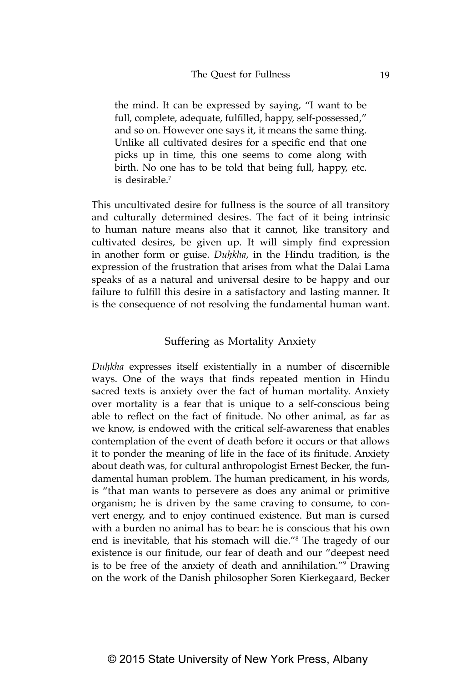the mind. It can be expressed by saying, "I want to be full, complete, adequate, fulfilled, happy, self-possessed," and so on. However one says it, it means the same thing. Unlike all cultivated desires for a specific end that one picks up in time, this one seems to come along with birth. No one has to be told that being full, happy, etc. is desirable.7

This uncultivated desire for fullness is the source of all transitory and culturally determined desires. The fact of it being intrinsic to human nature means also that it cannot, like transitory and cultivated desires, be given up. It will simply find expression in another form or guise. *Duḥkha*, in the Hindu tradition, is the expression of the frustration that arises from what the Dalai Lama speaks of as a natural and universal desire to be happy and our failure to fulfill this desire in a satisfactory and lasting manner. It is the consequence of not resolving the fundamental human want.

## Suffering as Mortality Anxiety

*Duḥkha* expresses itself existentially in a number of discernible ways. One of the ways that finds repeated mention in Hindu sacred texts is anxiety over the fact of human mortality. Anxiety over mortality is a fear that is unique to a self-conscious being able to reflect on the fact of finitude. No other animal, as far as we know, is endowed with the critical self-awareness that enables contemplation of the event of death before it occurs or that allows it to ponder the meaning of life in the face of its finitude. Anxiety about death was, for cultural anthropologist Ernest Becker, the fundamental human problem. The human predicament, in his words, is "that man wants to persevere as does any animal or primitive organism; he is driven by the same craving to consume, to convert energy, and to enjoy continued existence. But man is cursed with a burden no animal has to bear: he is conscious that his own end is inevitable, that his stomach will die."<sup>8</sup> The tragedy of our existence is our finitude, our fear of death and our "deepest need is to be free of the anxiety of death and annihilation."<sup>9</sup> Drawing on the work of the Danish philosopher Soren Kierkegaard, Becker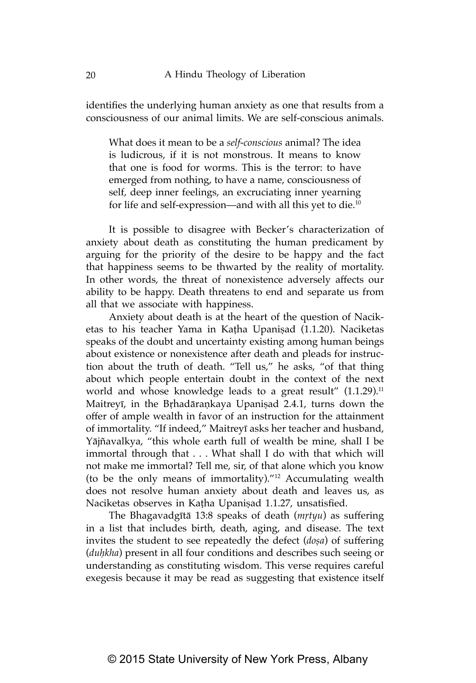identifies the underlying human anxiety as one that results from a consciousness of our animal limits. We are self-conscious animals.

What does it mean to be a *self*-*conscious* animal? The idea is ludicrous, if it is not monstrous. It means to know that one is food for worms. This is the terror: to have emerged from nothing, to have a name, consciousness of self, deep inner feelings, an excruciating inner yearning for life and self-expression—and with all this yet to die.10

It is possible to disagree with Becker's characterization of anxiety about death as constituting the human predicament by arguing for the priority of the desire to be happy and the fact that happiness seems to be thwarted by the reality of mortality. In other words, the threat of nonexistence adversely affects our ability to be happy. Death threatens to end and separate us from all that we associate with happiness.

Anxiety about death is at the heart of the question of Naciketas to his teacher Yama in Kaṭha Upaniṣad (1.1.20). Naciketas speaks of the doubt and uncertainty existing among human beings about existence or nonexistence after death and pleads for instruction about the truth of death. "Tell us," he asks, "of that thing about which people entertain doubt in the context of the next world and whose knowledge leads to a great result"  $(1.1.29)^{11}$ Maitreyī, in the Bṛhadāraṇkaya Upaniṣad 2.4.1, turns down the offer of ample wealth in favor of an instruction for the attainment of immortality. "If indeed," Maitreyī asks her teacher and husband, Yājñavalkya, "this whole earth full of wealth be mine, shall I be immortal through that . . . What shall I do with that which will not make me immortal? Tell me, sir, of that alone which you know (to be the only means of immortality)."12 Accumulating wealth does not resolve human anxiety about death and leaves us, as Naciketas observes in Kaṭha Upaniṣad 1.1.27, unsatisfied.

The Bhagavadgītā 13:8 speaks of death (*mṛtyu*) as suffering in a list that includes birth, death, aging, and disease. The text invites the student to see repeatedly the defect (*doṣa*) of suffering (*duḥkha*) present in all four conditions and describes such seeing or understanding as constituting wisdom. This verse requires careful exegesis because it may be read as suggesting that existence itself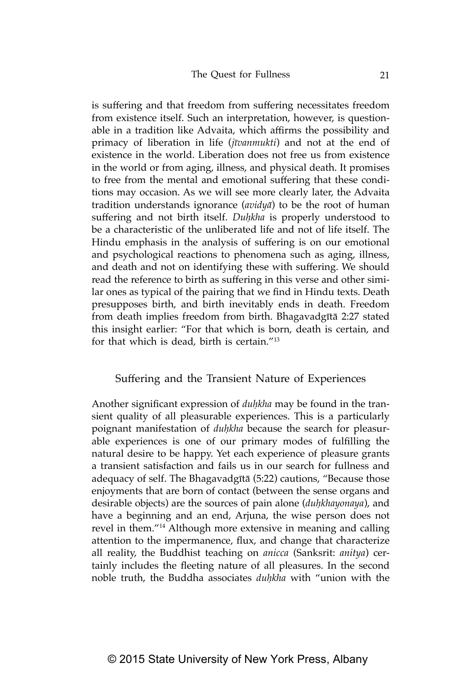is suffering and that freedom from suffering necessitates freedom from existence itself. Such an interpretation, however, is questionable in a tradition like Advaita, which affirms the possibility and primacy of liberation in life (*jīvanmukti*) and not at the end of existence in the world. Liberation does not free us from existence in the world or from aging, illness, and physical death. It promises to free from the mental and emotional suffering that these conditions may occasion. As we will see more clearly later, the Advaita tradition understands ignorance (*avidyā*) to be the root of human suffering and not birth itself. *Duḥkha* is properly understood to be a characteristic of the unliberated life and not of life itself. The Hindu emphasis in the analysis of suffering is on our emotional and psychological reactions to phenomena such as aging, illness, and death and not on identifying these with suffering. We should read the reference to birth as suffering in this verse and other similar ones as typical of the pairing that we find in Hindu texts. Death presupposes birth, and birth inevitably ends in death. Freedom from death implies freedom from birth. Bhagavadgītā 2:27 stated this insight earlier: "For that which is born, death is certain, and for that which is dead, birth is certain."13

#### Suffering and the Transient Nature of Experiences

Another significant expression of *duḥkha* may be found in the transient quality of all pleasurable experiences. This is a particularly poignant manifestation of *duḥkha* because the search for pleasurable experiences is one of our primary modes of fulfilling the natural desire to be happy. Yet each experience of pleasure grants a transient satisfaction and fails us in our search for fullness and adequacy of self. The Bhagavadgītā (5:22) cautions, "Because those enjoyments that are born of contact (between the sense organs and desirable objects) are the sources of pain alone (*duḥkhayonaya*), and have a beginning and an end, Arjuna, the wise person does not revel in them."<sup>14</sup> Although more extensive in meaning and calling attention to the impermanence, flux, and change that characterize all reality, the Buddhist teaching on *anicca* (Sanksrit: *anitya*) certainly includes the fleeting nature of all pleasures. In the second noble truth, the Buddha associates *duḥkha* with "union with the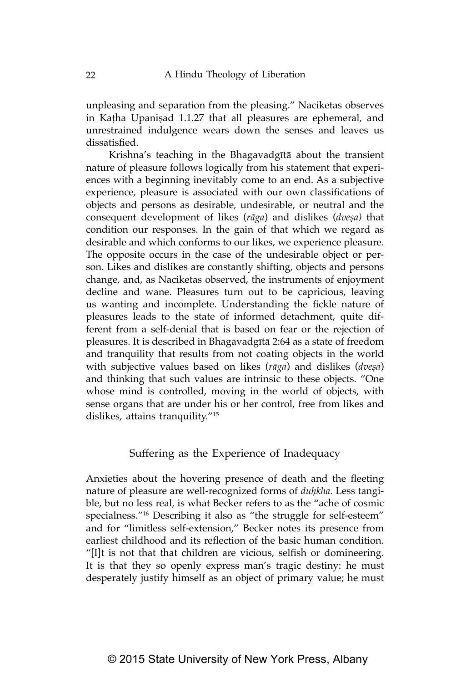unpleasing and separation from the pleasing." Naciketas observes in Kaṭha Upaniṣad 1.1.27 that all pleasures are ephemeral, and unrestrained indulgence wears down the senses and leaves us dissatisfied.

Krishna's teaching in the Bhagavadgītā about the transient nature of pleasure follows logically from his statement that experiences with a beginning inevitably come to an end. As a subjective experience, pleasure is associated with our own classifications of objects and persons as desirable, undesirable, or neutral and the consequent development of likes (*rāga*) and dislikes (*dveṣa)* that condition our responses. In the gain of that which we regard as desirable and which conforms to our likes, we experience pleasure. The opposite occurs in the case of the undesirable object or person. Likes and dislikes are constantly shifting, objects and persons change, and, as Naciketas observed, the instruments of enjoyment decline and wane. Pleasures turn out to be capricious, leaving us wanting and incomplete. Understanding the fickle nature of pleasures leads to the state of informed detachment, quite different from a self-denial that is based on fear or the rejection of pleasures. It is described in Bhagavadgītā 2:64 as a state of freedom and tranquility that results from not coating objects in the world with subjective values based on likes (*rāga*) and dislikes (*dveṣa*) and thinking that such values are intrinsic to these objects. "One whose mind is controlled, moving in the world of objects, with sense organs that are under his or her control, free from likes and dislikes, attains tranquility."<sup>15</sup>

#### Suffering as the Experience of Inadequacy

Anxieties about the hovering presence of death and the fleeting nature of pleasure are well-recognized forms of *duḥkha.* Less tangible, but no less real, is what Becker refers to as the "ache of cosmic specialness."16 Describing it also as "the struggle for self-esteem" and for "limitless self-extension," Becker notes its presence from earliest childhood and its reflection of the basic human condition. "[I]t is not that that children are vicious, selfish or domineering. It is that they so openly express man's tragic destiny: he must desperately justify himself as an object of primary value; he must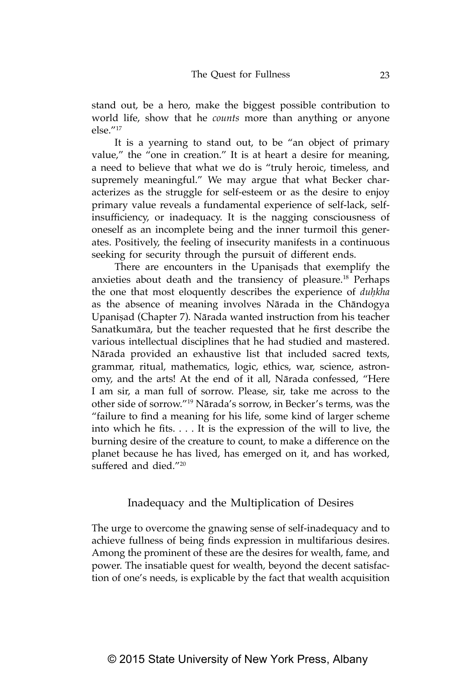stand out, be a hero, make the biggest possible contribution to world life, show that he *counts* more than anything or anyone  $else."17$ 

It is a yearning to stand out, to be "an object of primary value," the "one in creation." It is at heart a desire for meaning, a need to believe that what we do is "truly heroic, timeless, and supremely meaningful." We may argue that what Becker characterizes as the struggle for self-esteem or as the desire to enjoy primary value reveals a fundamental experience of self-lack, selfinsufficiency, or inadequacy. It is the nagging consciousness of oneself as an incomplete being and the inner turmoil this generates. Positively, the feeling of insecurity manifests in a continuous seeking for security through the pursuit of different ends.

There are encounters in the Upaniṣads that exemplify the anxieties about death and the transiency of pleasure.<sup>18</sup> Perhaps the one that most eloquently describes the experience of *duḥkha* as the absence of meaning involves Nārada in the Chāndogya Upaniṣad (Chapter 7). Nārada wanted instruction from his teacher Sanatkumāra, but the teacher requested that he first describe the various intellectual disciplines that he had studied and mastered. Nārada provided an exhaustive list that included sacred texts, grammar, ritual, mathematics, logic, ethics, war, science, astronomy, and the arts! At the end of it all, Nārada confessed, "Here I am sir, a man full of sorrow. Please, sir, take me across to the other side of sorrow."<sup>19</sup> Nārada's sorrow, in Becker's terms, was the "failure to find a meaning for his life, some kind of larger scheme into which he fits. . . . It is the expression of the will to live, the burning desire of the creature to count, to make a difference on the planet because he has lived, has emerged on it, and has worked, suffered and died."<sup>20</sup>

#### Inadequacy and the Multiplication of Desires

The urge to overcome the gnawing sense of self-inadequacy and to achieve fullness of being finds expression in multifarious desires. Among the prominent of these are the desires for wealth, fame, and power. The insatiable quest for wealth, beyond the decent satisfaction of one's needs, is explicable by the fact that wealth acquisition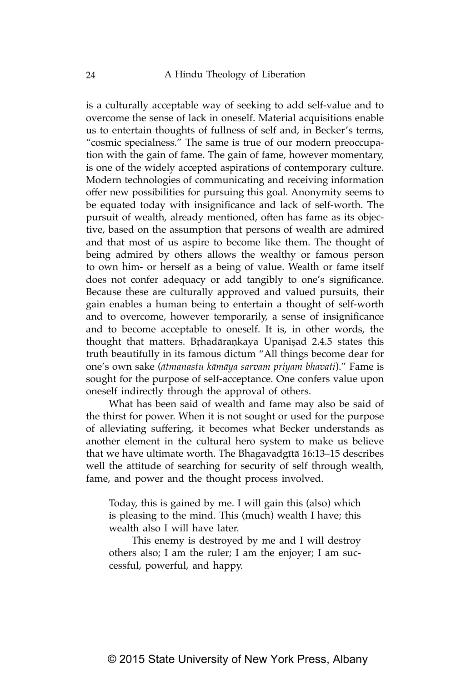is a culturally acceptable way of seeking to add self-value and to overcome the sense of lack in oneself. Material acquisitions enable us to entertain thoughts of fullness of self and, in Becker's terms, "cosmic specialness." The same is true of our modern preoccupation with the gain of fame. The gain of fame, however momentary, is one of the widely accepted aspirations of contemporary culture. Modern technologies of communicating and receiving information offer new possibilities for pursuing this goal. Anonymity seems to be equated today with insignificance and lack of self-worth. The pursuit of wealth, already mentioned, often has fame as its objective, based on the assumption that persons of wealth are admired and that most of us aspire to become like them. The thought of being admired by others allows the wealthy or famous person to own him- or herself as a being of value. Wealth or fame itself does not confer adequacy or add tangibly to one's significance. Because these are culturally approved and valued pursuits, their gain enables a human being to entertain a thought of self-worth and to overcome, however temporarily, a sense of insignificance and to become acceptable to oneself. It is, in other words, the thought that matters. Bṛhadāraṇkaya Upaniṣad 2.4.5 states this truth beautifully in its famous dictum "All things become dear for one's own sake (*ātmanastu kāmāya sarvam priyam bhavati*)." Fame is sought for the purpose of self-acceptance. One confers value upon oneself indirectly through the approval of others.

What has been said of wealth and fame may also be said of the thirst for power. When it is not sought or used for the purpose of alleviating suffering, it becomes what Becker understands as another element in the cultural hero system to make us believe that we have ultimate worth. The Bhagavadgītā 16:13–15 describes well the attitude of searching for security of self through wealth, fame, and power and the thought process involved.

Today, this is gained by me. I will gain this (also) which is pleasing to the mind. This (much) wealth I have; this wealth also I will have later.

This enemy is destroyed by me and I will destroy others also; I am the ruler; I am the enjoyer; I am successful, powerful, and happy.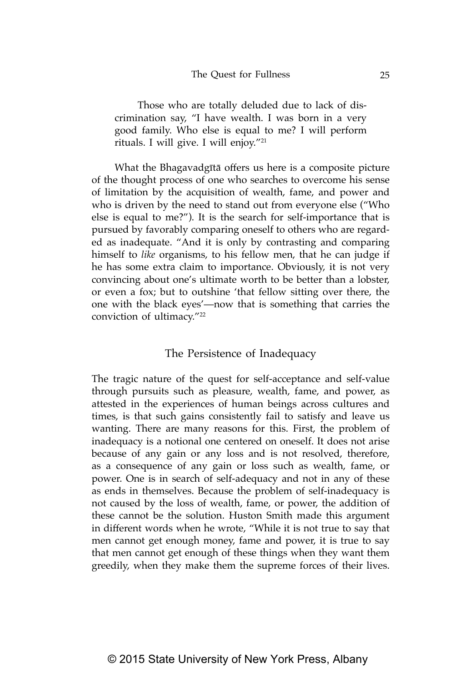Those who are totally deluded due to lack of discrimination say, "I have wealth. I was born in a very good family. Who else is equal to me? I will perform rituals. I will give. I will enjoy."21

What the Bhagavadgītā offers us here is a composite picture of the thought process of one who searches to overcome his sense of limitation by the acquisition of wealth, fame, and power and who is driven by the need to stand out from everyone else ("Who else is equal to me?"). It is the search for self-importance that is pursued by favorably comparing oneself to others who are regarded as inadequate. "And it is only by contrasting and comparing himself to *like* organisms, to his fellow men, that he can judge if he has some extra claim to importance. Obviously, it is not very convincing about one's ultimate worth to be better than a lobster, or even a fox; but to outshine 'that fellow sitting over there, the one with the black eyes'—now that is something that carries the conviction of ultimacy."22

## The Persistence of Inadequacy

The tragic nature of the quest for self-acceptance and self-value through pursuits such as pleasure, wealth, fame, and power, as attested in the experiences of human beings across cultures and times, is that such gains consistently fail to satisfy and leave us wanting. There are many reasons for this. First, the problem of inadequacy is a notional one centered on oneself. It does not arise because of any gain or any loss and is not resolved, therefore, as a consequence of any gain or loss such as wealth, fame, or power. One is in search of self-adequacy and not in any of these as ends in themselves. Because the problem of self-inadequacy is not caused by the loss of wealth, fame, or power, the addition of these cannot be the solution. Huston Smith made this argument in different words when he wrote, "While it is not true to say that men cannot get enough money, fame and power, it is true to say that men cannot get enough of these things when they want them greedily, when they make them the supreme forces of their lives.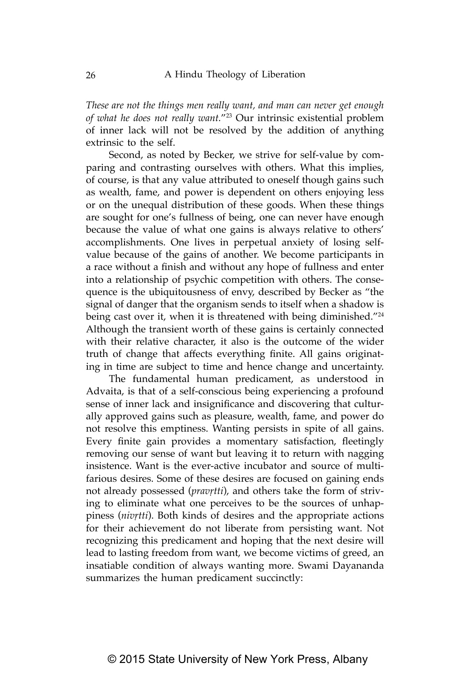*These are not the things men really want, and man can never get enough of what he does not really want.*"23 Our intrinsic existential problem of inner lack will not be resolved by the addition of anything extrinsic to the self.

Second, as noted by Becker, we strive for self-value by comparing and contrasting ourselves with others. What this implies, of course, is that any value attributed to oneself though gains such as wealth, fame, and power is dependent on others enjoying less or on the unequal distribution of these goods. When these things are sought for one's fullness of being, one can never have enough because the value of what one gains is always relative to others' accomplishments. One lives in perpetual anxiety of losing selfvalue because of the gains of another. We become participants in a race without a finish and without any hope of fullness and enter into a relationship of psychic competition with others. The consequence is the ubiquitousness of envy, described by Becker as "the signal of danger that the organism sends to itself when a shadow is being cast over it, when it is threatened with being diminished."<sup>24</sup> Although the transient worth of these gains is certainly connected with their relative character, it also is the outcome of the wider truth of change that affects everything finite. All gains originating in time are subject to time and hence change and uncertainty.

The fundamental human predicament, as understood in Advaita, is that of a self-conscious being experiencing a profound sense of inner lack and insignificance and discovering that culturally approved gains such as pleasure, wealth, fame, and power do not resolve this emptiness. Wanting persists in spite of all gains. Every finite gain provides a momentary satisfaction, fleetingly removing our sense of want but leaving it to return with nagging insistence. Want is the ever-active incubator and source of multifarious desires. Some of these desires are focused on gaining ends not already possessed (*pravṛtti*), and others take the form of striving to eliminate what one perceives to be the sources of unhappiness (*nivṛtti*). Both kinds of desires and the appropriate actions for their achievement do not liberate from persisting want. Not recognizing this predicament and hoping that the next desire will lead to lasting freedom from want, we become victims of greed, an insatiable condition of always wanting more. Swami Dayananda summarizes the human predicament succinctly: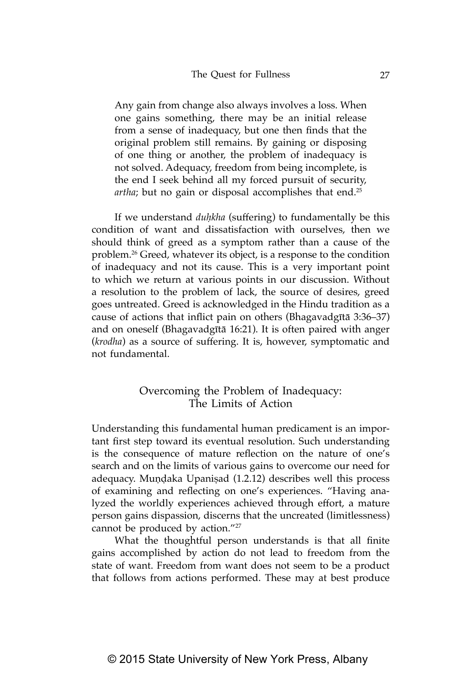Any gain from change also always involves a loss. When one gains something, there may be an initial release from a sense of inadequacy, but one then finds that the original problem still remains. By gaining or disposing of one thing or another, the problem of inadequacy is not solved. Adequacy, freedom from being incomplete, is the end I seek behind all my forced pursuit of security, artha; but no gain or disposal accomplishes that end.<sup>25</sup>

If we understand *duḥkha* (suffering) to fundamentally be this condition of want and dissatisfaction with ourselves, then we should think of greed as a symptom rather than a cause of the problem.26 Greed, whatever its object, is a response to the condition of inadequacy and not its cause. This is a very important point to which we return at various points in our discussion. Without a resolution to the problem of lack, the source of desires, greed goes untreated. Greed is acknowledged in the Hindu tradition as a cause of actions that inflict pain on others (Bhagavadgītā 3:36–37) and on oneself (Bhagavadgītā 16:21). It is often paired with anger (*krodha*) as a source of suffering. It is, however, symptomatic and not fundamental.

# Overcoming the Problem of Inadequacy: The Limits of Action

Understanding this fundamental human predicament is an important first step toward its eventual resolution. Such understanding is the consequence of mature reflection on the nature of one's search and on the limits of various gains to overcome our need for adequacy. Muṇḍaka Upaniṣad (1.2.12) describes well this process of examining and reflecting on one's experiences. "Having analyzed the worldly experiences achieved through effort, a mature person gains dispassion, discerns that the uncreated (limitlessness) cannot be produced by action."27

What the thoughtful person understands is that all finite gains accomplished by action do not lead to freedom from the state of want. Freedom from want does not seem to be a product that follows from actions performed. These may at best produce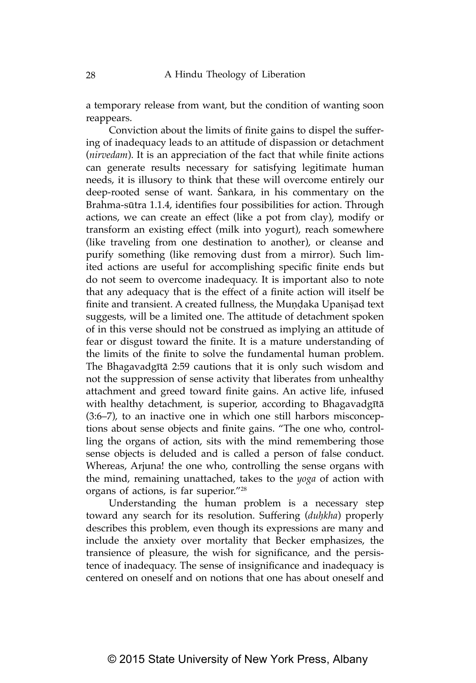a temporary release from want, but the condition of wanting soon reappears.

Conviction about the limits of finite gains to dispel the suffering of inadequacy leads to an attitude of dispassion or detachment (*nirvedam*). It is an appreciation of the fact that while finite actions can generate results necessary for satisfying legitimate human needs, it is illusory to think that these will overcome entirely our deep-rooted sense of want. Sankara, in his commentary on the Brahma-sūtra 1.1.4, identifies four possibilities for action. Through actions, we can create an effect (like a pot from clay), modify or transform an existing effect (milk into yogurt), reach somewhere (like traveling from one destination to another), or cleanse and purify something (like removing dust from a mirror). Such limited actions are useful for accomplishing specific finite ends but do not seem to overcome inadequacy. It is important also to note that any adequacy that is the effect of a finite action will itself be finite and transient. A created fullness, the Muṇḍaka Upaniṣad text suggests, will be a limited one. The attitude of detachment spoken of in this verse should not be construed as implying an attitude of fear or disgust toward the finite. It is a mature understanding of the limits of the finite to solve the fundamental human problem. The Bhagavadgītā 2:59 cautions that it is only such wisdom and not the suppression of sense activity that liberates from unhealthy attachment and greed toward finite gains. An active life, infused with healthy detachment, is superior, according to Bhagavadgītā (3:6–7), to an inactive one in which one still harbors misconceptions about sense objects and finite gains. "The one who, controlling the organs of action, sits with the mind remembering those sense objects is deluded and is called a person of false conduct. Whereas, Arjuna! the one who, controlling the sense organs with the mind, remaining unattached, takes to the *yoga* of action with organs of actions, is far superior."28

Understanding the human problem is a necessary step toward any search for its resolution. Suffering (*duḥkha*) properly describes this problem, even though its expressions are many and include the anxiety over mortality that Becker emphasizes, the transience of pleasure, the wish for significance, and the persistence of inadequacy. The sense of insignificance and inadequacy is centered on oneself and on notions that one has about oneself and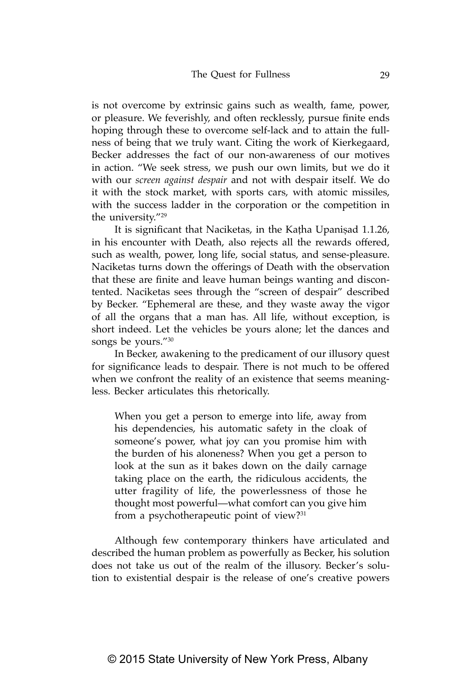is not overcome by extrinsic gains such as wealth, fame, power, or pleasure. We feverishly, and often recklessly, pursue finite ends hoping through these to overcome self-lack and to attain the fullness of being that we truly want. Citing the work of Kierkegaard, Becker addresses the fact of our non-awareness of our motives in action. "We seek stress, we push our own limits, but we do it with our *screen against despair* and not with despair itself. We do it with the stock market, with sports cars, with atomic missiles, with the success ladder in the corporation or the competition in the university."29

It is significant that Naciketas, in the Kaṭha Upaniṣad 1.1.26, in his encounter with Death, also rejects all the rewards offered, such as wealth, power, long life, social status, and sense-pleasure. Naciketas turns down the offerings of Death with the observation that these are finite and leave human beings wanting and discontented. Naciketas sees through the "screen of despair" described by Becker. "Ephemeral are these, and they waste away the vigor of all the organs that a man has. All life, without exception, is short indeed. Let the vehicles be yours alone; let the dances and songs be yours."30

In Becker, awakening to the predicament of our illusory quest for significance leads to despair. There is not much to be offered when we confront the reality of an existence that seems meaningless. Becker articulates this rhetorically.

When you get a person to emerge into life, away from his dependencies, his automatic safety in the cloak of someone's power, what joy can you promise him with the burden of his aloneness? When you get a person to look at the sun as it bakes down on the daily carnage taking place on the earth, the ridiculous accidents, the utter fragility of life, the powerlessness of those he thought most powerful—what comfort can you give him from a psychotherapeutic point of view?<sup>31</sup>

Although few contemporary thinkers have articulated and described the human problem as powerfully as Becker, his solution does not take us out of the realm of the illusory. Becker's solution to existential despair is the release of one's creative powers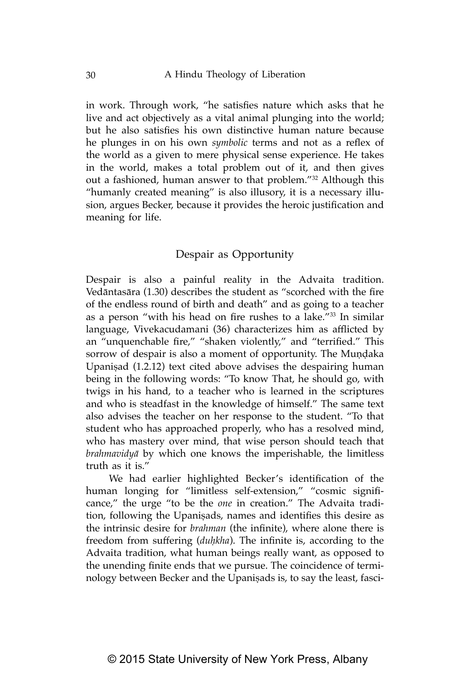in work. Through work, "he satisfies nature which asks that he live and act objectively as a vital animal plunging into the world; but he also satisfies his own distinctive human nature because he plunges in on his own *symbolic* terms and not as a reflex of the world as a given to mere physical sense experience. He takes in the world, makes a total problem out of it, and then gives out a fashioned, human answer to that problem."32 Although this "humanly created meaning" is also illusory, it is a necessary illusion, argues Becker, because it provides the heroic justification and meaning for life.

#### Despair as Opportunity

Despair is also a painful reality in the Advaita tradition. Vedāntasāra (1.30) describes the student as "scorched with the fire of the endless round of birth and death" and as going to a teacher as a person "with his head on fire rushes to a lake."33 In similar language, Vivekacudamani (36) characterizes him as afflicted by an "unquenchable fire," "shaken violently," and "terrified." This sorrow of despair is also a moment of opportunity. The Muṇḍaka Upaniṣad (1.2.12) text cited above advises the despairing human being in the following words: "To know That, he should go, with twigs in his hand, to a teacher who is learned in the scriptures and who is steadfast in the knowledge of himself." The same text also advises the teacher on her response to the student. "To that student who has approached properly, who has a resolved mind, who has mastery over mind, that wise person should teach that *brahmavidyā* by which one knows the imperishable, the limitless truth as it is."

We had earlier highlighted Becker's identification of the human longing for "limitless self-extension," "cosmic significance," the urge "to be the *one* in creation." The Advaita tradition, following the Upaniṣads, names and identifies this desire as the intrinsic desire for *brahman* (the infinite), where alone there is freedom from suffering (*duḥkha*). The infinite is, according to the Advaita tradition, what human beings really want, as opposed to the unending finite ends that we pursue. The coincidence of terminology between Becker and the Upaniṣads is, to say the least, fasci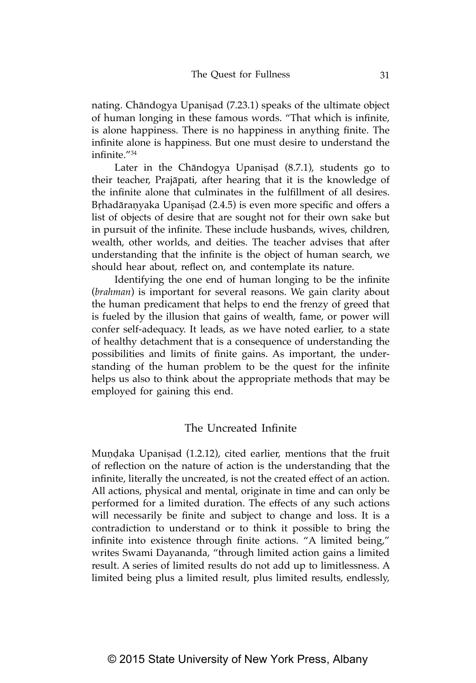nating. Chāndogya Upaniṣad (7.23.1) speaks of the ultimate object of human longing in these famous words. "That which is infinite, is alone happiness. There is no happiness in anything finite. The infinite alone is happiness. But one must desire to understand the infinite."34

Later in the Chāndogya Upaniṣad (8.7.1), students go to their teacher, Prajāpati, after hearing that it is the knowledge of the infinite alone that culminates in the fulfillment of all desires. Bṛhadāraṇyaka Upaniṣad (2.4.5) is even more specific and offers a list of objects of desire that are sought not for their own sake but in pursuit of the infinite. These include husbands, wives, children, wealth, other worlds, and deities. The teacher advises that after understanding that the infinite is the object of human search, we should hear about, reflect on, and contemplate its nature.

Identifying the one end of human longing to be the infinite (*brahman*) is important for several reasons. We gain clarity about the human predicament that helps to end the frenzy of greed that is fueled by the illusion that gains of wealth, fame, or power will confer self-adequacy. It leads, as we have noted earlier, to a state of healthy detachment that is a consequence of understanding the possibilities and limits of finite gains. As important, the understanding of the human problem to be the quest for the infinite helps us also to think about the appropriate methods that may be employed for gaining this end.

#### The Uncreated Infinite

Muṇḍaka Upaniṣad (1.2.12), cited earlier, mentions that the fruit of reflection on the nature of action is the understanding that the infinite, literally the uncreated, is not the created effect of an action. All actions, physical and mental, originate in time and can only be performed for a limited duration. The effects of any such actions will necessarily be finite and subject to change and loss. It is a contradiction to understand or to think it possible to bring the infinite into existence through finite actions. "A limited being," writes Swami Dayananda, "through limited action gains a limited result. A series of limited results do not add up to limitlessness. A limited being plus a limited result, plus limited results, endlessly,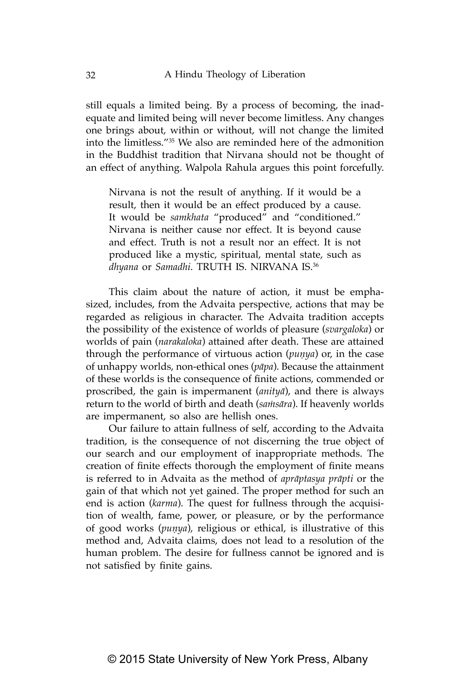still equals a limited being. By a process of becoming, the inadequate and limited being will never become limitless. Any changes one brings about, within or without, will not change the limited into the limitless."35 We also are reminded here of the admonition in the Buddhist tradition that Nirvana should not be thought of an effect of anything. Walpola Rahula argues this point forcefully.

Nirvana is not the result of anything. If it would be a result, then it would be an effect produced by a cause. It would be *samkhata* "produced" and "conditioned." Nirvana is neither cause nor effect. It is beyond cause and effect. Truth is not a result nor an effect. It is not produced like a mystic, spiritual, mental state, such as *dhyana* or *Samadhi*. TRUTH IS. NIRVANA IS.36

This claim about the nature of action, it must be emphasized, includes, from the Advaita perspective, actions that may be regarded as religious in character. The Advaita tradition accepts the possibility of the existence of worlds of pleasure (*svargaloka*) or worlds of pain (*narakaloka*) attained after death. These are attained through the performance of virtuous action (*puṇya*) or, in the case of unhappy worlds, non-ethical ones (*pāpa*). Because the attainment of these worlds is the consequence of finite actions, commended or proscribed, the gain is impermanent (*anityā*), and there is always return to the world of birth and death (*saṁsāra*). If heavenly worlds are impermanent, so also are hellish ones.

Our failure to attain fullness of self, according to the Advaita tradition, is the consequence of not discerning the true object of our search and our employment of inappropriate methods. The creation of finite effects thorough the employment of finite means is referred to in Advaita as the method of *aprāptasya prāpti* or the gain of that which not yet gained. The proper method for such an end is action (*karma*). The quest for fullness through the acquisition of wealth, fame, power, or pleasure, or by the performance of good works (*puṇya*), religious or ethical, is illustrative of this method and, Advaita claims, does not lead to a resolution of the human problem. The desire for fullness cannot be ignored and is not satisfied by finite gains.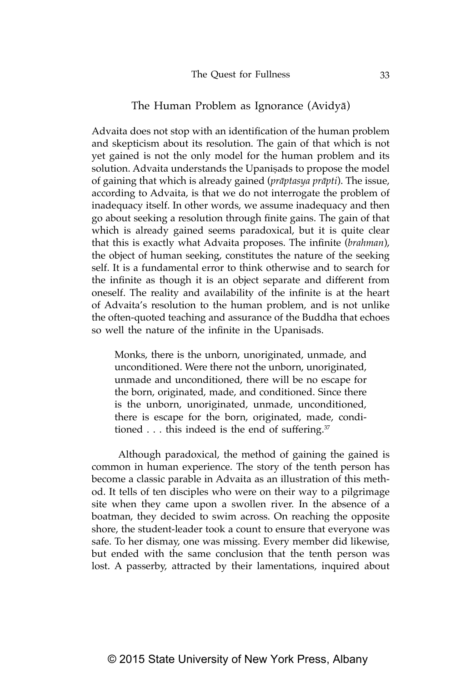#### The Human Problem as Ignorance (Avidyā)

Advaita does not stop with an identification of the human problem and skepticism about its resolution. The gain of that which is not yet gained is not the only model for the human problem and its solution. Advaita understands the Upaniṣads to propose the model of gaining that which is already gained (*prāptasya prāpti*). The issue, according to Advaita, is that we do not interrogate the problem of inadequacy itself. In other words, we assume inadequacy and then go about seeking a resolution through finite gains. The gain of that which is already gained seems paradoxical, but it is quite clear that this is exactly what Advaita proposes. The infinite (*brahman*), the object of human seeking, constitutes the nature of the seeking self. It is a fundamental error to think otherwise and to search for the infinite as though it is an object separate and different from oneself. The reality and availability of the infinite is at the heart of Advaita's resolution to the human problem, and is not unlike the often-quoted teaching and assurance of the Buddha that echoes so well the nature of the infinite in the Upanisads.

Monks, there is the unborn, unoriginated, unmade, and unconditioned. Were there not the unborn, unoriginated, unmade and unconditioned, there will be no escape for the born, originated, made, and conditioned. Since there is the unborn, unoriginated, unmade, unconditioned, there is escape for the born, originated, made, conditioned  $\dots$  this indeed is the end of suffering.<sup>37</sup>

 Although paradoxical, the method of gaining the gained is common in human experience. The story of the tenth person has become a classic parable in Advaita as an illustration of this method. It tells of ten disciples who were on their way to a pilgrimage site when they came upon a swollen river. In the absence of a boatman, they decided to swim across. On reaching the opposite shore, the student-leader took a count to ensure that everyone was safe. To her dismay, one was missing. Every member did likewise, but ended with the same conclusion that the tenth person was lost. A passerby, attracted by their lamentations, inquired about